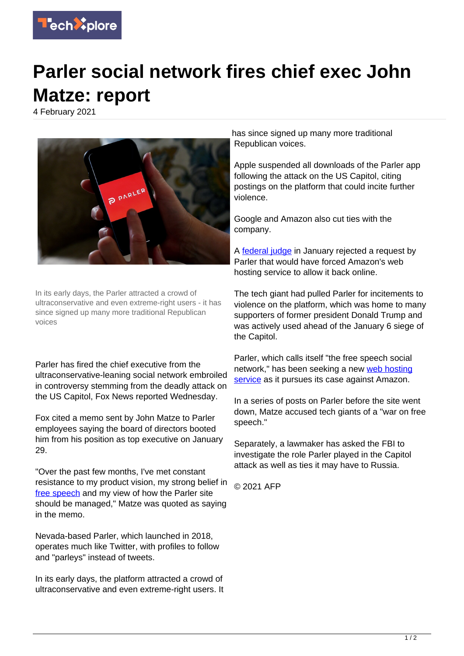

## **Parler social network fires chief exec John Matze: report**

4 February 2021



In its early days, the Parler attracted a crowd of ultraconservative and even extreme-right users - it has since signed up many more traditional Republican voices

Parler has fired the chief executive from the ultraconservative-leaning social network embroiled in controversy stemming from the deadly attack on the US Capitol, Fox News reported Wednesday.

Fox cited a memo sent by John Matze to Parler employees saying the board of directors booted him from his position as top executive on January 29.

"Over the past few months, I've met constant resistance to my product vision, my strong belief in © 2021 AFP [free speech](https://techxplore.com/tags/free+speech/) and my view of how the Parler site should be managed," Matze was quoted as saying in the memo.

Nevada-based Parler, which launched in 2018, operates much like Twitter, with profiles to follow and "parleys" instead of tweets.

In its early days, the platform attracted a crowd of ultraconservative and even extreme-right users. It has since signed up many more traditional Republican voices.

Apple suspended all downloads of the Parler app following the attack on the US Capitol, citing postings on the platform that could incite further violence.

Google and Amazon also cut ties with the company.

A [federal judge](https://techxplore.com/tags/federal+judge/) in January rejected a request by Parler that would have forced Amazon's web hosting service to allow it back online.

The tech giant had pulled Parler for incitements to violence on the platform, which was home to many supporters of former president Donald Trump and was actively used ahead of the January 6 siege of the Capitol.

Parler, which calls itself "the free speech social network," has been seeking a new [web hosting](https://techxplore.com/tags/web+hosting+service/) [service](https://techxplore.com/tags/web+hosting+service/) as it pursues its case against Amazon.

In a series of posts on Parler before the site went down, Matze accused tech giants of a "war on free speech."

Separately, a lawmaker has asked the FBI to investigate the role Parler played in the Capitol attack as well as ties it may have to Russia.